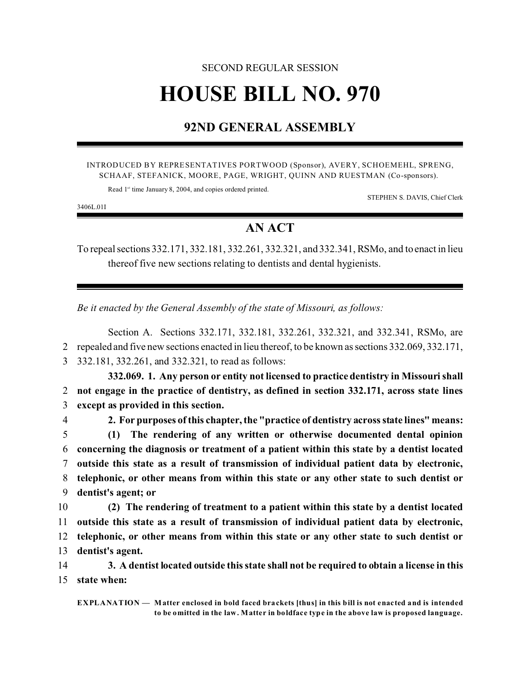# SECOND REGULAR SESSION **HOUSE BILL NO. 970**

## **92ND GENERAL ASSEMBLY**

#### INTRODUCED BY REPRESENTATIVES PORTWOOD (Sponsor), AVERY, SCHOEMEHL, SPRENG, SCHAAF, STEFANICK, MOORE, PAGE, WRIGHT, QUINN AND RUESTMAN (Co-sponsors).

Read 1<sup>st</sup> time January 8, 2004, and copies ordered printed.

STEPHEN S. DAVIS, Chief Clerk

3406L.01I

### **AN ACT**

To repeal sections 332.171, 332.181, 332.261, 332.321, and 332.341, RSMo, and to enact in lieu thereof five new sections relating to dentists and dental hygienists.

*Be it enacted by the General Assembly of the state of Missouri, as follows:*

Section A. Sections 332.171, 332.181, 332.261, 332.321, and 332.341, RSMo, are 2 repealed and five new sections enacted in lieu thereof, to be known as sections 332.069, 332.171, 3 332.181, 332.261, and 332.321, to read as follows:

**332.069. 1. Any person or entity not licensed to practice dentistry in Missouri shall** 2 **not engage in the practice of dentistry, as defined in section 332.171, across state lines** 3 **except as provided in this section.**

 **2. For purposes of this chapter, the "practice of dentistry across state lines" means: (1) The rendering of any written or otherwise documented dental opinion concerning the diagnosis or treatment of a patient within this state by a dentist located outside this state as a result of transmission of individual patient data by electronic, telephonic, or other means from within this state or any other state to such dentist or dentist's agent; or**

 **(2) The rendering of treatment to a patient within this state by a dentist located outside this state as a result of transmission of individual patient data by electronic, telephonic, or other means from within this state or any other state to such dentist or dentist's agent.**

14 **3. A dentist located outside this state shall not be required to obtain a license in this** 15 **state when:**

**EXPLANATION — Matter enclosed in bold faced brackets [thus] in this bill is not enacted and is intended to be omitted in the law. Matter in boldface type in the above law is proposed language.**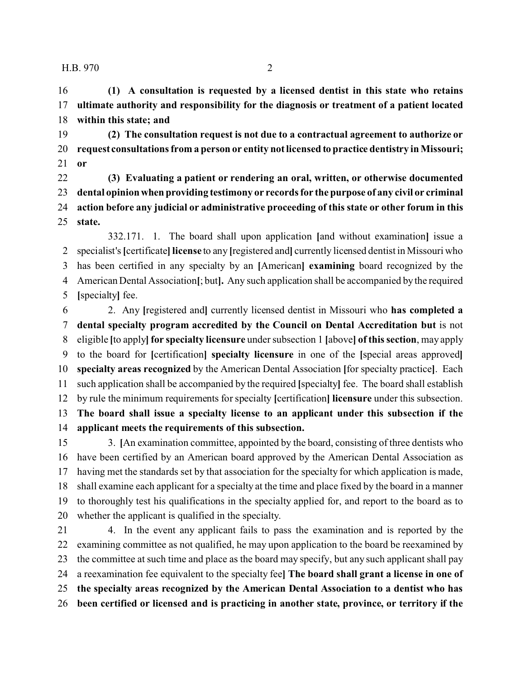**(1) A consultation is requested by a licensed dentist in this state who retains ultimate authority and responsibility for the diagnosis or treatment of a patient located within this state; and**

 **(2) The consultation request is not due to a contractual agreement to authorize or request consultations from a person or entity not licensed to practice dentistry in Missouri; or**

 **(3) Evaluating a patient or rendering an oral, written, or otherwise documented dental opinion when providing testimony or records for the purpose of any civil or criminal action before any judicial or administrative proceeding of this state or other forum in this state.**

332.171. 1. The board shall upon application **[**and without examination**]** issue a specialist's**[**certificate**] license** to any **[**registered and**]** currently licensed dentist in Missouri who has been certified in any specialty by an **[**American**] examining** board recognized by the American Dental Association**[**; but**].** Any such application shall be accompanied by the required **[**specialty**]** fee.

 2. Any **[**registered and**]** currently licensed dentist in Missouri who **has completed a dental specialty program accredited by the Council on Dental Accreditation but** is not eligible **[**to apply**] for specialty licensure** under subsection 1 **[**above**] of this section**, may apply to the board for **[**certification**] specialty licensure** in one of the **[**special areas approved**] specialty areas recognized** by the American Dental Association **[**for specialty practice**]**. Each such application shall be accompanied by the required **[**specialty**]** fee. The board shall establish by rule the minimum requirements for specialty **[**certification**] licensure** under this subsection. **The board shall issue a specialty license to an applicant under this subsection if the applicant meets the requirements of this subsection.**

 3. **[**An examination committee, appointed by the board, consisting of three dentists who have been certified by an American board approved by the American Dental Association as having met the standards set by that association for the specialty for which application is made, shall examine each applicant for a specialty at the time and place fixed by the board in a manner to thoroughly test his qualifications in the specialty applied for, and report to the board as to whether the applicant is qualified in the specialty.

 4. In the event any applicant fails to pass the examination and is reported by the examining committee as not qualified, he may upon application to the board be reexamined by the committee at such time and place as the board may specify, but any such applicant shall pay a reexamination fee equivalent to the specialty fee**] The board shall grant a license in one of the specialty areas recognized by the American Dental Association to a dentist who has been certified or licensed and is practicing in another state, province, or territory if the**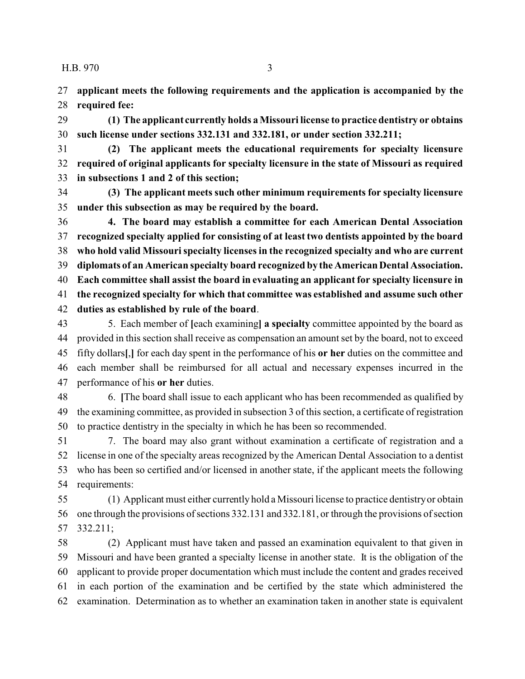**applicant meets the following requirements and the application is accompanied by the required fee:**

 **(1) The applicant currently holds a Missouri license to practice dentistry or obtains such license under sections 332.131 and 332.181, or under section 332.211;**

 **(2) The applicant meets the educational requirements for specialty licensure required of original applicants for specialty licensure in the state of Missouri as required in subsections 1 and 2 of this section;**

 **(3) The applicant meets such other minimum requirements for specialty licensure under this subsection as may be required by the board.**

 **4. The board may establish a committee for each American Dental Association recognized specialty applied for consisting of at least two dentists appointed by the board who hold valid Missouri specialty licenses in the recognized specialty and who are current diplomats of an American specialty board recognized by the American Dental Association. Each committee shall assist the board in evaluating an applicant for specialty licensure in the recognized specialty for which that committee was established and assume such other duties as established by rule of the board**.

 5. Each member of **[**each examining**] a specialty** committee appointed by the board as provided in this section shall receive as compensation an amount set by the board, not to exceed fifty dollars**[**,**]** for each day spent in the performance of his **or her** duties on the committee and each member shall be reimbursed for all actual and necessary expenses incurred in the performance of his **or her** duties.

 6. **[**The board shall issue to each applicant who has been recommended as qualified by the examining committee, as provided in subsection 3 of this section, a certificate of registration to practice dentistry in the specialty in which he has been so recommended.

 7. The board may also grant without examination a certificate of registration and a license in one of the specialty areas recognized by the American Dental Association to a dentist who has been so certified and/or licensed in another state, if the applicant meets the following requirements:

 (1) Applicant must either currently hold a Missouri license to practice dentistry or obtain one through the provisions of sections 332.131 and 332.181, or through the provisions of section 332.211;

 (2) Applicant must have taken and passed an examination equivalent to that given in Missouri and have been granted a specialty license in another state. It is the obligation of the applicant to provide proper documentation which must include the content and grades received in each portion of the examination and be certified by the state which administered the examination. Determination as to whether an examination taken in another state is equivalent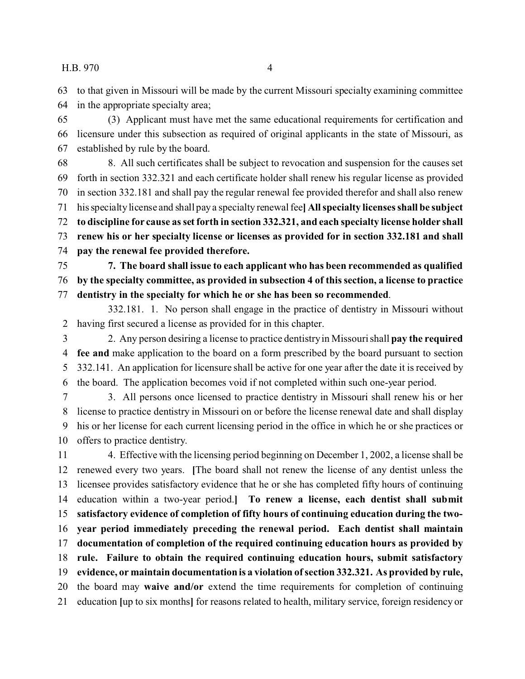to that given in Missouri will be made by the current Missouri specialty examining committee in the appropriate specialty area;

 (3) Applicant must have met the same educational requirements for certification and licensure under this subsection as required of original applicants in the state of Missouri, as established by rule by the board.

 8. All such certificates shall be subject to revocation and suspension for the causes set forth in section 332.321 and each certificate holder shall renew his regular license as provided in section 332.181 and shall pay the regular renewal fee provided therefor and shall also renew his specialty license and shall pay a specialty renewal fee**] All specialty licenses shall be subject to discipline for cause as set forth in section 332.321, and each specialty license holder shall renew his or her specialty license or licenses as provided for in section 332.181 and shall pay the renewal fee provided therefore.**

 **7. The board shall issue to each applicant who has been recommended as qualified by the specialty committee, as provided in subsection 4 of this section, a license to practice dentistry in the specialty for which he or she has been so recommended**.

332.181. 1. No person shall engage in the practice of dentistry in Missouri without having first secured a license as provided for in this chapter.

 2. Any person desiring a license to practice dentistry in Missouri shall **pay the required fee and** make application to the board on a form prescribed by the board pursuant to section 332.141. An application for licensure shall be active for one year after the date it is received by the board. The application becomes void if not completed within such one-year period.

 3. All persons once licensed to practice dentistry in Missouri shall renew his or her license to practice dentistry in Missouri on or before the license renewal date and shall display his or her license for each current licensing period in the office in which he or she practices or offers to practice dentistry.

 4. Effective with the licensing period beginning on December 1, 2002, a license shall be renewed every two years. **[**The board shall not renew the license of any dentist unless the licensee provides satisfactory evidence that he or she has completed fifty hours of continuing education within a two-year period.**] To renew a license, each dentist shall submit satisfactory evidence of completion of fifty hours of continuing education during the two- year period immediately preceding the renewal period. Each dentist shall maintain documentation of completion of the required continuing education hours as provided by rule. Failure to obtain the required continuing education hours, submit satisfactory evidence, or maintain documentation is a violation of section 332.321. As provided by rule,** the board may **waive and/or** extend the time requirements for completion of continuing education **[**up to six months**]** for reasons related to health, military service, foreign residency or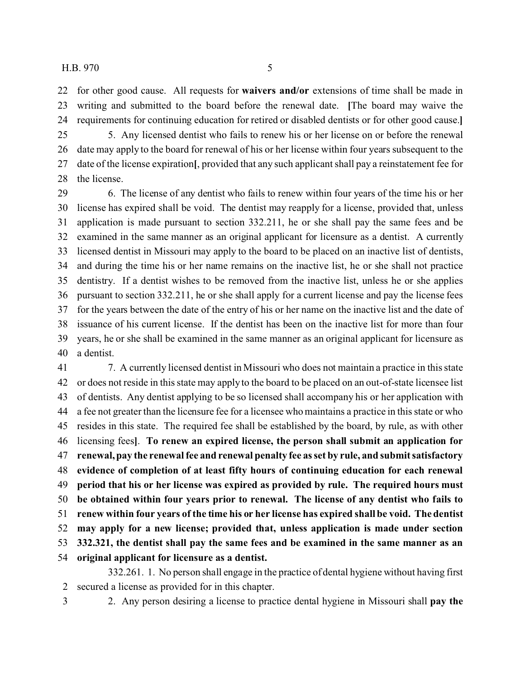for other good cause. All requests for **waivers and/or** extensions of time shall be made in writing and submitted to the board before the renewal date. **[**The board may waive the requirements for continuing education for retired or disabled dentists or for other good cause.**]**

 5. Any licensed dentist who fails to renew his or her license on or before the renewal date may apply to the board for renewal of his or her license within four years subsequent to the date of the license expiration**[**, provided that any such applicant shall pay a reinstatement fee for the license.

 6. The license of any dentist who fails to renew within four years of the time his or her license has expired shall be void. The dentist may reapply for a license, provided that, unless application is made pursuant to section 332.211, he or she shall pay the same fees and be examined in the same manner as an original applicant for licensure as a dentist. A currently licensed dentist in Missouri may apply to the board to be placed on an inactive list of dentists, and during the time his or her name remains on the inactive list, he or she shall not practice dentistry. If a dentist wishes to be removed from the inactive list, unless he or she applies pursuant to section 332.211, he or she shall apply for a current license and pay the license fees for the years between the date of the entry of his or her name on the inactive list and the date of issuance of his current license. If the dentist has been on the inactive list for more than four years, he or she shall be examined in the same manner as an original applicant for licensure as a dentist.

 7. A currently licensed dentist in Missouri who does not maintain a practice in this state or does not reside in this state may apply to the board to be placed on an out-of-state licensee list of dentists. Any dentist applying to be so licensed shall accompany his or her application with a fee not greater than the licensure fee for a licensee who maintains a practice in this state or who resides in this state. The required fee shall be established by the board, by rule, as with other licensing fees**]**. **To renew an expired license, the person shall submit an application for renewal, pay the renewal fee and renewal penalty fee as set by rule, and submit satisfactory evidence of completion of at least fifty hours of continuing education for each renewal period that his or her license was expired as provided by rule. The required hours must be obtained within four years prior to renewal. The license of any dentist who fails to renew within four years of the time his or her license has expired shall be void. The dentist may apply for a new license; provided that, unless application is made under section 332.321, the dentist shall pay the same fees and be examined in the same manner as an original applicant for licensure as a dentist.**

332.261. 1. No person shall engage in the practice of dental hygiene without having first secured a license as provided for in this chapter.

2. Any person desiring a license to practice dental hygiene in Missouri shall **pay the**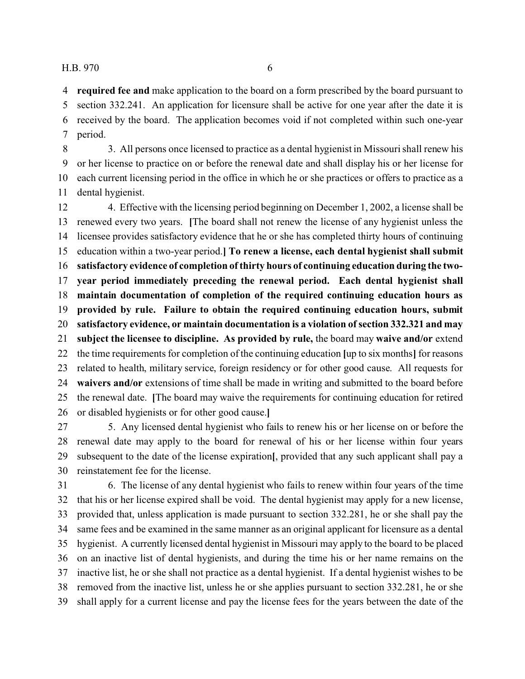**required fee and** make application to the board on a form prescribed by the board pursuant to section 332.241. An application for licensure shall be active for one year after the date it is received by the board. The application becomes void if not completed within such one-year period.

 3. All persons once licensed to practice as a dental hygienist in Missouri shall renew his or her license to practice on or before the renewal date and shall display his or her license for each current licensing period in the office in which he or she practices or offers to practice as a dental hygienist.

 4. Effective with the licensing period beginning on December 1, 2002, a license shall be renewed every two years. **[**The board shall not renew the license of any hygienist unless the licensee provides satisfactory evidence that he or she has completed thirty hours of continuing education within a two-year period.**] To renew a license, each dental hygienist shall submit satisfactory evidence of completion of thirty hours of continuing education during the two- year period immediately preceding the renewal period. Each dental hygienist shall maintain documentation of completion of the required continuing education hours as provided by rule. Failure to obtain the required continuing education hours, submit satisfactory evidence, or maintain documentation is a violation of section 332.321 and may subject the licensee to discipline. As provided by rule,** the board may **waive and/or** extend the time requirements for completion of the continuing education **[**up to six months**]** for reasons related to health, military service, foreign residency or for other good cause. All requests for **waivers and/or** extensions of time shall be made in writing and submitted to the board before the renewal date. **[**The board may waive the requirements for continuing education for retired or disabled hygienists or for other good cause.**]**

 5. Any licensed dental hygienist who fails to renew his or her license on or before the renewal date may apply to the board for renewal of his or her license within four years subsequent to the date of the license expiration**[**, provided that any such applicant shall pay a reinstatement fee for the license.

 6. The license of any dental hygienist who fails to renew within four years of the time that his or her license expired shall be void. The dental hygienist may apply for a new license, provided that, unless application is made pursuant to section 332.281, he or she shall pay the same fees and be examined in the same manner as an original applicant for licensure as a dental hygienist. A currently licensed dental hygienist in Missouri may apply to the board to be placed on an inactive list of dental hygienists, and during the time his or her name remains on the inactive list, he or she shall not practice as a dental hygienist. If a dental hygienist wishes to be removed from the inactive list, unless he or she applies pursuant to section 332.281, he or she shall apply for a current license and pay the license fees for the years between the date of the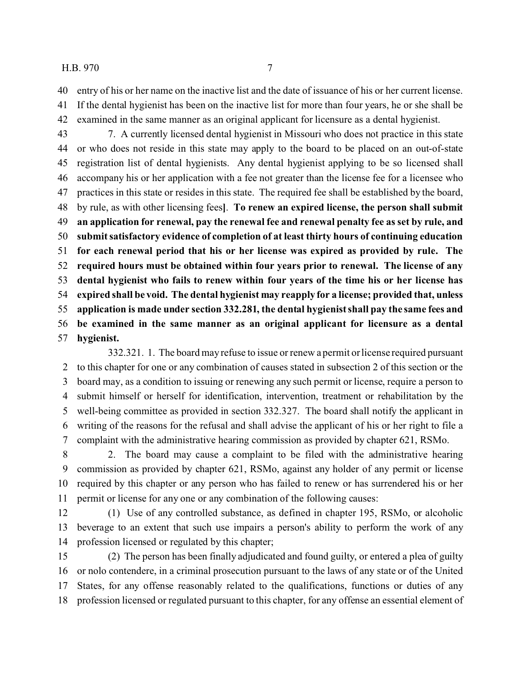- entry of his or her name on the inactive list and the date of issuance of his or her current license.
- If the dental hygienist has been on the inactive list for more than four years, he or she shall be
- examined in the same manner as an original applicant for licensure as a dental hygienist.

 7. A currently licensed dental hygienist in Missouri who does not practice in this state or who does not reside in this state may apply to the board to be placed on an out-of-state registration list of dental hygienists. Any dental hygienist applying to be so licensed shall accompany his or her application with a fee not greater than the license fee for a licensee who practices in this state or resides in this state. The required fee shall be established by the board, by rule, as with other licensing fees**]**. **To renew an expired license, the person shall submit an application for renewal, pay the renewal fee and renewal penalty fee as set by rule, and submit satisfactory evidence of completion of at least thirty hours of continuing education for each renewal period that his or her license was expired as provided by rule. The required hours must be obtained within four years prior to renewal. The license of any dental hygienist who fails to renew within four years of the time his or her license has expired shall be void. The dental hygienist may reapply for a license; provided that, unless application is made under section 332.281, the dental hygienist shall pay the same fees and be examined in the same manner as an original applicant for licensure as a dental hygienist.**

332.321. 1. The board may refuse to issue or renew a permit or license required pursuant to this chapter for one or any combination of causes stated in subsection 2 of this section or the board may, as a condition to issuing or renewing any such permit or license, require a person to submit himself or herself for identification, intervention, treatment or rehabilitation by the well-being committee as provided in section 332.327. The board shall notify the applicant in writing of the reasons for the refusal and shall advise the applicant of his or her right to file a complaint with the administrative hearing commission as provided by chapter 621, RSMo.

 2. The board may cause a complaint to be filed with the administrative hearing commission as provided by chapter 621, RSMo, against any holder of any permit or license required by this chapter or any person who has failed to renew or has surrendered his or her permit or license for any one or any combination of the following causes:

 (1) Use of any controlled substance, as defined in chapter 195, RSMo, or alcoholic beverage to an extent that such use impairs a person's ability to perform the work of any profession licensed or regulated by this chapter;

 (2) The person has been finally adjudicated and found guilty, or entered a plea of guilty or nolo contendere, in a criminal prosecution pursuant to the laws of any state or of the United States, for any offense reasonably related to the qualifications, functions or duties of any profession licensed or regulated pursuant to this chapter, for any offense an essential element of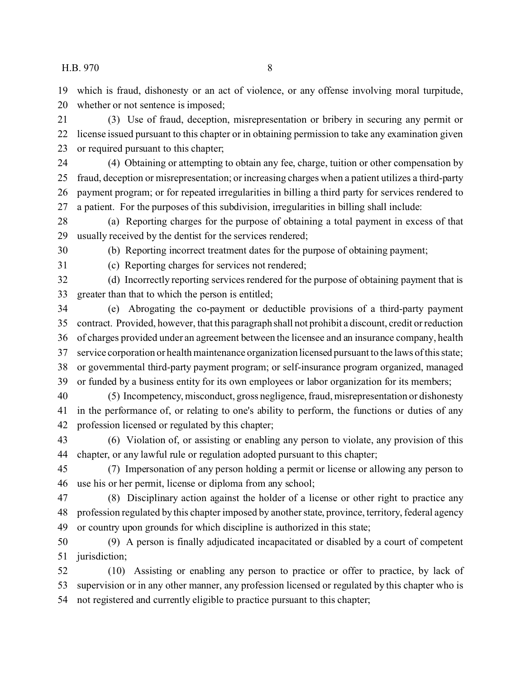which is fraud, dishonesty or an act of violence, or any offense involving moral turpitude, whether or not sentence is imposed;

 (3) Use of fraud, deception, misrepresentation or bribery in securing any permit or license issued pursuant to this chapter or in obtaining permission to take any examination given or required pursuant to this chapter;

 (4) Obtaining or attempting to obtain any fee, charge, tuition or other compensation by fraud, deception or misrepresentation; or increasing charges when a patient utilizes a third-party payment program; or for repeated irregularities in billing a third party for services rendered to a patient. For the purposes of this subdivision, irregularities in billing shall include:

 (a) Reporting charges for the purpose of obtaining a total payment in excess of that usually received by the dentist for the services rendered;

(b) Reporting incorrect treatment dates for the purpose of obtaining payment;

(c) Reporting charges for services not rendered;

 (d) Incorrectly reporting services rendered for the purpose of obtaining payment that is greater than that to which the person is entitled;

 (e) Abrogating the co-payment or deductible provisions of a third-party payment contract. Provided, however, that this paragraph shall not prohibit a discount, credit or reduction of charges provided under an agreement between the licensee and an insurance company, health service corporation or health maintenance organization licensed pursuant to the laws of this state; or governmental third-party payment program; or self-insurance program organized, managed or funded by a business entity for its own employees or labor organization for its members;

 (5) Incompetency, misconduct, gross negligence, fraud, misrepresentation or dishonesty in the performance of, or relating to one's ability to perform, the functions or duties of any profession licensed or regulated by this chapter;

 (6) Violation of, or assisting or enabling any person to violate, any provision of this chapter, or any lawful rule or regulation adopted pursuant to this chapter;

 (7) Impersonation of any person holding a permit or license or allowing any person to use his or her permit, license or diploma from any school;

 (8) Disciplinary action against the holder of a license or other right to practice any profession regulated by this chapter imposed by another state, province, territory, federal agency or country upon grounds for which discipline is authorized in this state;

 (9) A person is finally adjudicated incapacitated or disabled by a court of competent jurisdiction;

 (10) Assisting or enabling any person to practice or offer to practice, by lack of supervision or in any other manner, any profession licensed or regulated by this chapter who is not registered and currently eligible to practice pursuant to this chapter;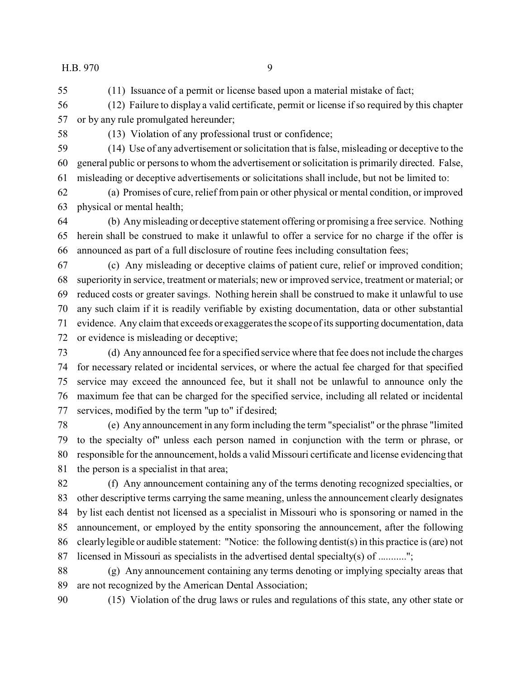(11) Issuance of a permit or license based upon a material mistake of fact;

 (12) Failure to display a valid certificate, permit or license if so required by this chapter or by any rule promulgated hereunder;

(13) Violation of any professional trust or confidence;

 (14) Use of any advertisement or solicitation that is false, misleading or deceptive to the general public or persons to whom the advertisement or solicitation is primarily directed. False, misleading or deceptive advertisements or solicitations shall include, but not be limited to:

 (a) Promises of cure, relief from pain or other physical or mental condition, or improved physical or mental health;

 (b) Any misleading or deceptive statement offering or promising a free service. Nothing herein shall be construed to make it unlawful to offer a service for no charge if the offer is announced as part of a full disclosure of routine fees including consultation fees;

 (c) Any misleading or deceptive claims of patient cure, relief or improved condition; superiority in service, treatment or materials; new or improved service, treatment or material; or reduced costs or greater savings. Nothing herein shall be construed to make it unlawful to use any such claim if it is readily verifiable by existing documentation, data or other substantial evidence. Any claim that exceeds or exaggerates the scope of its supporting documentation, data or evidence is misleading or deceptive;

 (d) Any announced fee for a specified service where that fee does not include the charges for necessary related or incidental services, or where the actual fee charged for that specified service may exceed the announced fee, but it shall not be unlawful to announce only the maximum fee that can be charged for the specified service, including all related or incidental services, modified by the term "up to" if desired;

 (e) Any announcement in any form including the term "specialist" or the phrase "limited to the specialty of" unless each person named in conjunction with the term or phrase, or responsible for the announcement, holds a valid Missouri certificate and license evidencing that the person is a specialist in that area;

 (f) Any announcement containing any of the terms denoting recognized specialties, or other descriptive terms carrying the same meaning, unless the announcement clearly designates by list each dentist not licensed as a specialist in Missouri who is sponsoring or named in the announcement, or employed by the entity sponsoring the announcement, after the following clearly legible or audible statement: "Notice: the following dentist(s) in this practice is (are) not licensed in Missouri as specialists in the advertised dental specialty(s) of ...........";

 (g) Any announcement containing any terms denoting or implying specialty areas that are not recognized by the American Dental Association;

(15) Violation of the drug laws or rules and regulations of this state, any other state or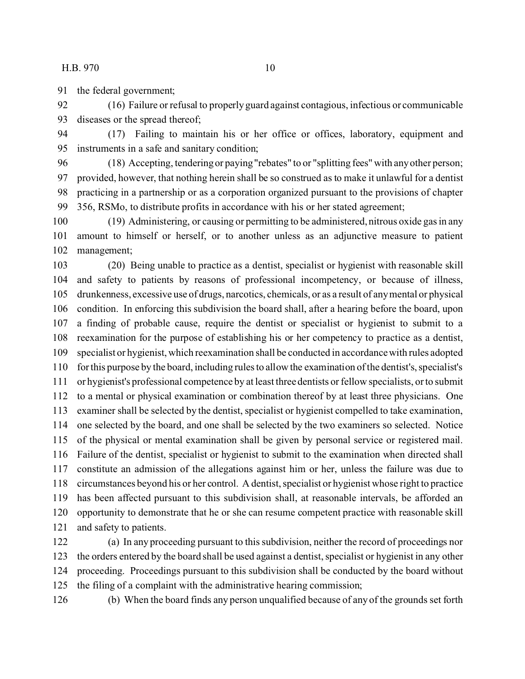the federal government;

 (16) Failure or refusal to properly guard against contagious, infectious or communicable diseases or the spread thereof;

 (17) Failing to maintain his or her office or offices, laboratory, equipment and instruments in a safe and sanitary condition;

 (18) Accepting, tendering or paying "rebates" to or "splitting fees" with any other person; provided, however, that nothing herein shall be so construed as to make it unlawful for a dentist practicing in a partnership or as a corporation organized pursuant to the provisions of chapter 356, RSMo, to distribute profits in accordance with his or her stated agreement;

 (19) Administering, or causing or permitting to be administered, nitrous oxide gas in any amount to himself or herself, or to another unless as an adjunctive measure to patient management;

 (20) Being unable to practice as a dentist, specialist or hygienist with reasonable skill and safety to patients by reasons of professional incompetency, or because of illness, drunkenness, excessive use of drugs, narcotics, chemicals, or as a result of any mental or physical condition. In enforcing this subdivision the board shall, after a hearing before the board, upon a finding of probable cause, require the dentist or specialist or hygienist to submit to a reexamination for the purpose of establishing his or her competency to practice as a dentist, specialist or hygienist, which reexamination shall be conducted in accordance with rules adopted for this purpose by the board, including rules to allow the examination of the dentist's, specialist's or hygienist's professional competence by at least three dentists or fellow specialists, or to submit to a mental or physical examination or combination thereof by at least three physicians. One examiner shall be selected by the dentist, specialist or hygienist compelled to take examination, one selected by the board, and one shall be selected by the two examiners so selected. Notice of the physical or mental examination shall be given by personal service or registered mail. Failure of the dentist, specialist or hygienist to submit to the examination when directed shall constitute an admission of the allegations against him or her, unless the failure was due to circumstances beyond his or her control. A dentist, specialist or hygienist whose right to practice has been affected pursuant to this subdivision shall, at reasonable intervals, be afforded an opportunity to demonstrate that he or she can resume competent practice with reasonable skill and safety to patients.

 (a) In any proceeding pursuant to this subdivision, neither the record of proceedings nor the orders entered by the board shall be used against a dentist, specialist or hygienist in any other proceeding. Proceedings pursuant to this subdivision shall be conducted by the board without the filing of a complaint with the administrative hearing commission;

(b) When the board finds any person unqualified because of any of the grounds set forth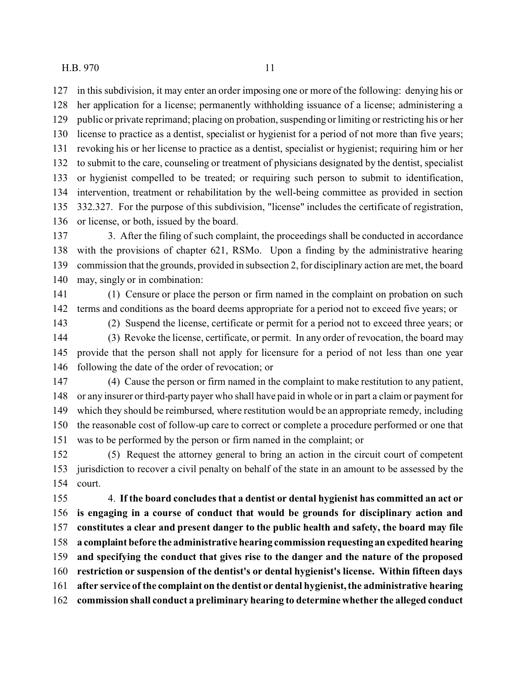in this subdivision, it may enter an order imposing one or more of the following: denying his or her application for a license; permanently withholding issuance of a license; administering a public or private reprimand; placing on probation, suspending or limiting or restricting his or her license to practice as a dentist, specialist or hygienist for a period of not more than five years; revoking his or her license to practice as a dentist, specialist or hygienist; requiring him or her to submit to the care, counseling or treatment of physicians designated by the dentist, specialist or hygienist compelled to be treated; or requiring such person to submit to identification, intervention, treatment or rehabilitation by the well-being committee as provided in section 332.327. For the purpose of this subdivision, "license" includes the certificate of registration, or license, or both, issued by the board.

 3. After the filing of such complaint, the proceedings shall be conducted in accordance with the provisions of chapter 621, RSMo. Upon a finding by the administrative hearing commission that the grounds, provided in subsection 2, for disciplinary action are met, the board may, singly or in combination:

 (1) Censure or place the person or firm named in the complaint on probation on such terms and conditions as the board deems appropriate for a period not to exceed five years; or

(2) Suspend the license, certificate or permit for a period not to exceed three years; or

 (3) Revoke the license, certificate, or permit. In any order of revocation, the board may provide that the person shall not apply for licensure for a period of not less than one year following the date of the order of revocation; or

 (4) Cause the person or firm named in the complaint to make restitution to any patient, or any insurer or third-party payer who shall have paid in whole or in part a claim or payment for which they should be reimbursed, where restitution would be an appropriate remedy, including the reasonable cost of follow-up care to correct or complete a procedure performed or one that was to be performed by the person or firm named in the complaint; or

 (5) Request the attorney general to bring an action in the circuit court of competent jurisdiction to recover a civil penalty on behalf of the state in an amount to be assessed by the court.

 4. **If the board concludes that a dentist or dental hygienist has committed an act or is engaging in a course of conduct that would be grounds for disciplinary action and constitutes a clear and present danger to the public health and safety, the board may file a complaint before the administrative hearing commission requesting an expedited hearing and specifying the conduct that gives rise to the danger and the nature of the proposed restriction or suspension of the dentist's or dental hygienist's license. Within fifteen days after service of the complaint on the dentist or dental hygienist, the administrative hearing commission shall conduct a preliminary hearing to determine whether the alleged conduct**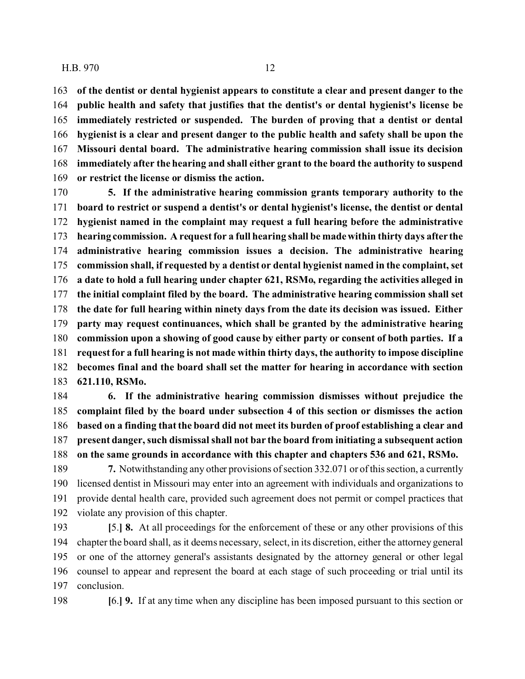**of the dentist or dental hygienist appears to constitute a clear and present danger to the public health and safety that justifies that the dentist's or dental hygienist's license be immediately restricted or suspended. The burden of proving that a dentist or dental hygienist is a clear and present danger to the public health and safety shall be upon the Missouri dental board. The administrative hearing commission shall issue its decision immediately after the hearing and shall either grant to the board the authority to suspend**

**or restrict the license or dismiss the action.**

 **5. If the administrative hearing commission grants temporary authority to the board to restrict or suspend a dentist's or dental hygienist's license, the dentist or dental hygienist named in the complaint may request a full hearing before the administrative hearing commission. A request for a full hearing shall be made within thirty days after the administrative hearing commission issues a decision. The administrative hearing commission shall, if requested by a dentist or dental hygienist named in the complaint, set a date to hold a full hearing under chapter 621, RSMo, regarding the activities alleged in the initial complaint filed by the board. The administrative hearing commission shall set the date for full hearing within ninety days from the date its decision was issued. Either party may request continuances, which shall be granted by the administrative hearing commission upon a showing of good cause by either party or consent of both parties. If a request for a full hearing is not made within thirty days, the authority to impose discipline becomes final and the board shall set the matter for hearing in accordance with section 621.110, RSMo.**

 **6. If the administrative hearing commission dismisses without prejudice the complaint filed by the board under subsection 4 of this section or dismisses the action based on a finding that the board did not meet its burden of proof establishing a clear and present danger, such dismissal shall not bar the board from initiating a subsequent action on the same grounds in accordance with this chapter and chapters 536 and 621, RSMo.**

 **7.** Notwithstanding any other provisions of section 332.071 or of this section, a currently licensed dentist in Missouri may enter into an agreement with individuals and organizations to provide dental health care, provided such agreement does not permit or compel practices that violate any provision of this chapter.

 **[**5.**] 8.** At all proceedings for the enforcement of these or any other provisions of this chapter the board shall, as it deems necessary, select, in its discretion, either the attorney general or one of the attorney general's assistants designated by the attorney general or other legal counsel to appear and represent the board at each stage of such proceeding or trial until its conclusion.

**[**6.**] 9.** If at any time when any discipline has been imposed pursuant to this section or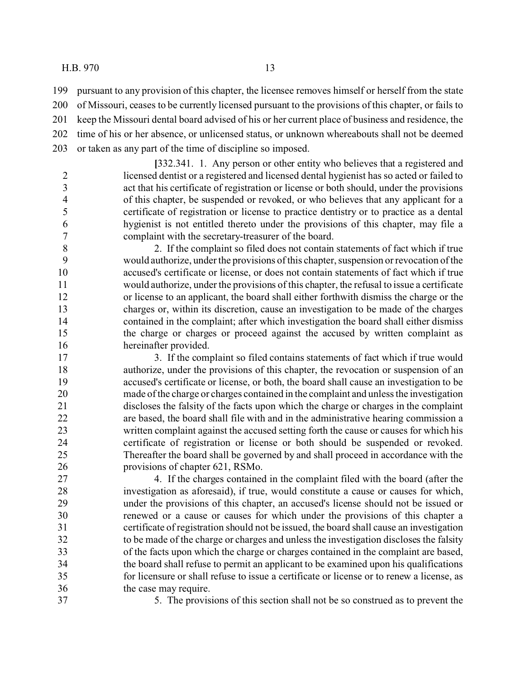pursuant to any provision of this chapter, the licensee removes himself or herself from the state

of Missouri, ceases to be currently licensed pursuant to the provisions of this chapter, or fails to

 keep the Missouri dental board advised of his or her current place of business and residence, the time of his or her absence, or unlicensed status, or unknown whereabouts shall not be deemed

or taken as any part of the time of discipline so imposed.

**[**332.341. 1. Any person or other entity who believes that a registered and licensed dentist or a registered and licensed dental hygienist has so acted or failed to act that his certificate of registration or license or both should, under the provisions of this chapter, be suspended or revoked, or who believes that any applicant for a certificate of registration or license to practice dentistry or to practice as a dental hygienist is not entitled thereto under the provisions of this chapter, may file a complaint with the secretary-treasurer of the board.

8 2. If the complaint so filed does not contain statements of fact which if true<br>9 would authorize, under the provisions of this chapter, suspension or revocation of the would authorize, under the provisions of this chapter, suspension or revocation of the accused's certificate or license, or does not contain statements of fact which if true would authorize, under the provisions of this chapter, the refusal to issue a certificate or license to an applicant, the board shall either forthwith dismiss the charge or the charges or, within its discretion, cause an investigation to be made of the charges contained in the complaint; after which investigation the board shall either dismiss the charge or charges or proceed against the accused by written complaint as hereinafter provided.

 3. If the complaint so filed contains statements of fact which if true would authorize, under the provisions of this chapter, the revocation or suspension of an accused's certificate or license, or both, the board shall cause an investigation to be made of the charge or charges contained in the complaint and unless the investigation discloses the falsity of the facts upon which the charge or charges in the complaint are based, the board shall file with and in the administrative hearing commission a written complaint against the accused setting forth the cause or causes for which his certificate of registration or license or both should be suspended or revoked. Thereafter the board shall be governed by and shall proceed in accordance with the provisions of chapter 621, RSMo.

 4. If the charges contained in the complaint filed with the board (after the investigation as aforesaid), if true, would constitute a cause or causes for which, under the provisions of this chapter, an accused's license should not be issued or renewed or a cause or causes for which under the provisions of this chapter a certificate of registration should not be issued, the board shall cause an investigation to be made of the charge or charges and unless the investigation discloses the falsity of the facts upon which the charge or charges contained in the complaint are based, the board shall refuse to permit an applicant to be examined upon his qualifications for licensure or shall refuse to issue a certificate or license or to renew a license, as the case may require.

5. The provisions of this section shall not be so construed as to prevent the